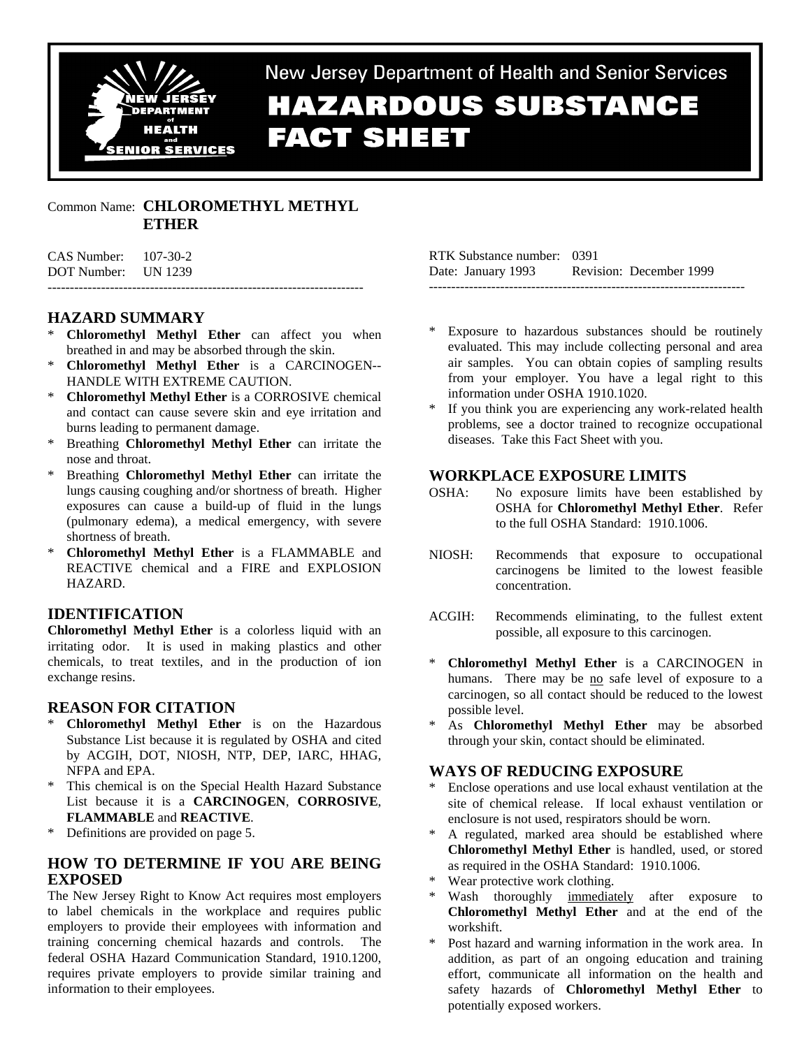

# New Jersey Department of Health and Senior Services **HAZARDOUS SUBSTANCE FACT SHEET**

## Common Name: **CHLOROMETHYL METHYL ETHER**

| DOT Number: UN 1239      |  |
|--------------------------|--|
| $CAS$ Number: $107-30-2$ |  |

# **HAZARD SUMMARY**

- **Chloromethyl Methyl Ether** can affect you when breathed in and may be absorbed through the skin.
- \* **Chloromethyl Methyl Ether** is a CARCINOGEN-- HANDLE WITH EXTREME CAUTION.
- \* **Chloromethyl Methyl Ether** is a CORROSIVE chemical and contact can cause severe skin and eye irritation and burns leading to permanent damage.
- Breathing **Chloromethyl Methyl Ether** can irritate the nose and throat.
- \* Breathing **Chloromethyl Methyl Ether** can irritate the lungs causing coughing and/or shortness of breath. Higher exposures can cause a build-up of fluid in the lungs (pulmonary edema), a medical emergency, with severe shortness of breath.
- \* **Chloromethyl Methyl Ether** is a FLAMMABLE and REACTIVE chemical and a FIRE and EXPLOSION HAZARD.

# **IDENTIFICATION**

**Chloromethyl Methyl Ether** is a colorless liquid with an irritating odor. It is used in making plastics and other chemicals, to treat textiles, and in the production of ion exchange resins.

## **REASON FOR CITATION**

- \* **Chloromethyl Methyl Ether** is on the Hazardous Substance List because it is regulated by OSHA and cited by ACGIH, DOT, NIOSH, NTP, DEP, IARC, HHAG, NFPA and EPA.
- \* This chemical is on the Special Health Hazard Substance List because it is a **CARCINOGEN**, **CORROSIVE**, **FLAMMABLE** and **REACTIVE**.
- \* Definitions are provided on page 5.

# **HOW TO DETERMINE IF YOU ARE BEING EXPOSED**

The New Jersey Right to Know Act requires most employers to label chemicals in the workplace and requires public employers to provide their employees with information and training concerning chemical hazards and controls. The federal OSHA Hazard Communication Standard, 1910.1200, requires private employers to provide similar training and information to their employees.

RTK Substance number: 0391 Date: January 1993 Revision: December 1999 -----------------------------------------------------------------------

- Exposure to hazardous substances should be routinely evaluated. This may include collecting personal and area air samples. You can obtain copies of sampling results from your employer. You have a legal right to this information under OSHA 1910.1020.
- If you think you are experiencing any work-related health problems, see a doctor trained to recognize occupational diseases. Take this Fact Sheet with you.

## **WORKPLACE EXPOSURE LIMITS**

- OSHA: No exposure limits have been established by OSHA for **Chloromethyl Methyl Ether**. Refer to the full OSHA Standard: 1910.1006.
- NIOSH: Recommends that exposure to occupational carcinogens be limited to the lowest feasible concentration.
- ACGIH: Recommends eliminating, to the fullest extent possible, all exposure to this carcinogen.
- \* **Chloromethyl Methyl Ether** is a CARCINOGEN in humans. There may be no safe level of exposure to a carcinogen, so all contact should be reduced to the lowest possible level.
- As **Chloromethyl Methyl Ether** may be absorbed through your skin, contact should be eliminated.

## **WAYS OF REDUCING EXPOSURE**

- \* Enclose operations and use local exhaust ventilation at the site of chemical release. If local exhaust ventilation or enclosure is not used, respirators should be worn.
- \* A regulated, marked area should be established where **Chloromethyl Methyl Ether** is handled, used, or stored as required in the OSHA Standard: 1910.1006.
- Wear protective work clothing.
- Wash thoroughly immediately after exposure to **Chloromethyl Methyl Ether** and at the end of the workshift.
- \* Post hazard and warning information in the work area. In addition, as part of an ongoing education and training effort, communicate all information on the health and safety hazards of **Chloromethyl Methyl Ether** to potentially exposed workers.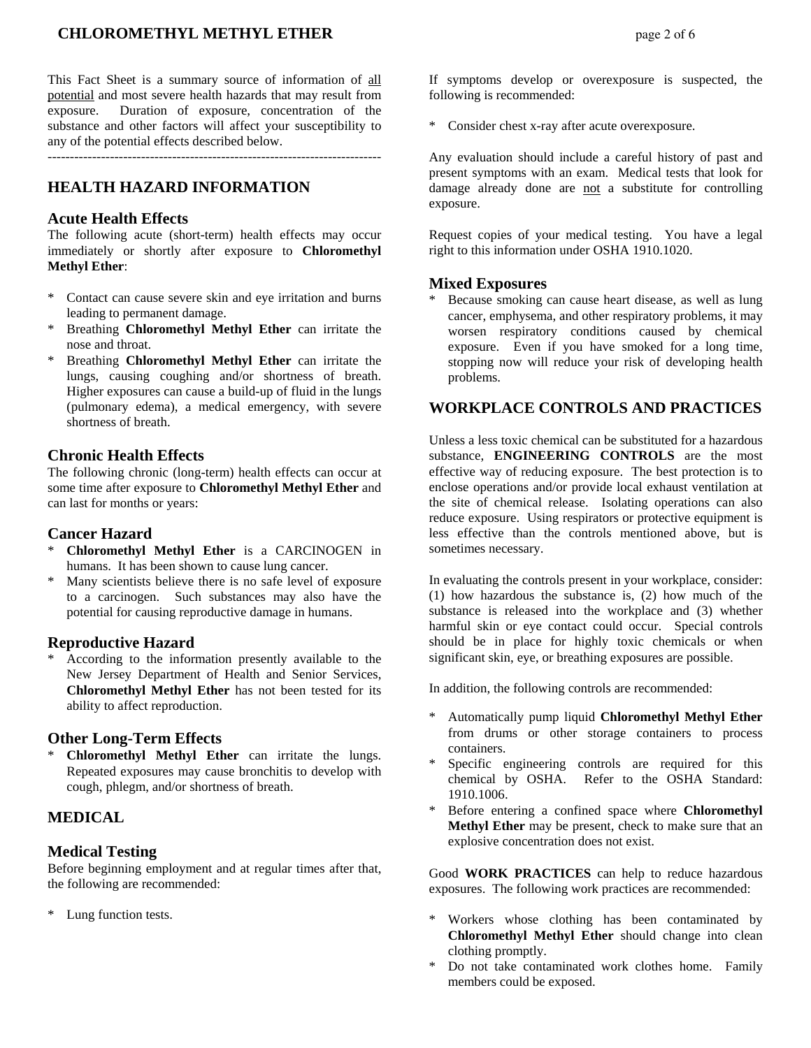#### **CHLOROMETHYL METHYL ETHER** *page 2 of 6*

This Fact Sheet is a summary source of information of all potential and most severe health hazards that may result from exposure. Duration of exposure, concentration of the substance and other factors will affect your susceptibility to any of the potential effects described below.

---------------------------------------------------------------------------

## **HEALTH HAZARD INFORMATION**

#### **Acute Health Effects**

The following acute (short-term) health effects may occur immediately or shortly after exposure to **Chloromethyl Methyl Ether**:

- Contact can cause severe skin and eye irritation and burns leading to permanent damage.
- Breathing **Chloromethyl Methyl Ether** can irritate the nose and throat.
- Breathing **Chloromethyl Methyl Ether** can irritate the lungs, causing coughing and/or shortness of breath. Higher exposures can cause a build-up of fluid in the lungs (pulmonary edema), a medical emergency, with severe shortness of breath.

## **Chronic Health Effects**

The following chronic (long-term) health effects can occur at some time after exposure to **Chloromethyl Methyl Ether** and can last for months or years:

#### **Cancer Hazard**

- \* **Chloromethyl Methyl Ether** is a CARCINOGEN in humans. It has been shown to cause lung cancer.
- Many scientists believe there is no safe level of exposure to a carcinogen. Such substances may also have the potential for causing reproductive damage in humans.

#### **Reproductive Hazard**

According to the information presently available to the New Jersey Department of Health and Senior Services, **Chloromethyl Methyl Ether** has not been tested for its ability to affect reproduction.

#### **Other Long-Term Effects**

**Chloromethyl Methyl Ether** can irritate the lungs. Repeated exposures may cause bronchitis to develop with cough, phlegm, and/or shortness of breath.

## **MEDICAL**

#### **Medical Testing**

Before beginning employment and at regular times after that, the following are recommended:

\* Lung function tests.

If symptoms develop or overexposure is suspected, the following is recommended:

Consider chest x-ray after acute overexposure.

Any evaluation should include a careful history of past and present symptoms with an exam. Medical tests that look for damage already done are not a substitute for controlling exposure.

Request copies of your medical testing. You have a legal right to this information under OSHA 1910.1020.

#### **Mixed Exposures**

Because smoking can cause heart disease, as well as lung cancer, emphysema, and other respiratory problems, it may worsen respiratory conditions caused by chemical exposure. Even if you have smoked for a long time, stopping now will reduce your risk of developing health problems.

## **WORKPLACE CONTROLS AND PRACTICES**

Unless a less toxic chemical can be substituted for a hazardous substance, **ENGINEERING CONTROLS** are the most effective way of reducing exposure. The best protection is to enclose operations and/or provide local exhaust ventilation at the site of chemical release. Isolating operations can also reduce exposure. Using respirators or protective equipment is less effective than the controls mentioned above, but is sometimes necessary.

In evaluating the controls present in your workplace, consider: (1) how hazardous the substance is, (2) how much of the substance is released into the workplace and (3) whether harmful skin or eye contact could occur. Special controls should be in place for highly toxic chemicals or when significant skin, eye, or breathing exposures are possible.

In addition, the following controls are recommended:

- \* Automatically pump liquid **Chloromethyl Methyl Ether** from drums or other storage containers to process containers.
- Specific engineering controls are required for this chemical by OSHA. Refer to the OSHA Standard: 1910.1006.
- \* Before entering a confined space where **Chloromethyl Methyl Ether** may be present, check to make sure that an explosive concentration does not exist.

Good **WORK PRACTICES** can help to reduce hazardous exposures. The following work practices are recommended:

- Workers whose clothing has been contaminated by **Chloromethyl Methyl Ether** should change into clean clothing promptly.
- Do not take contaminated work clothes home. Family members could be exposed.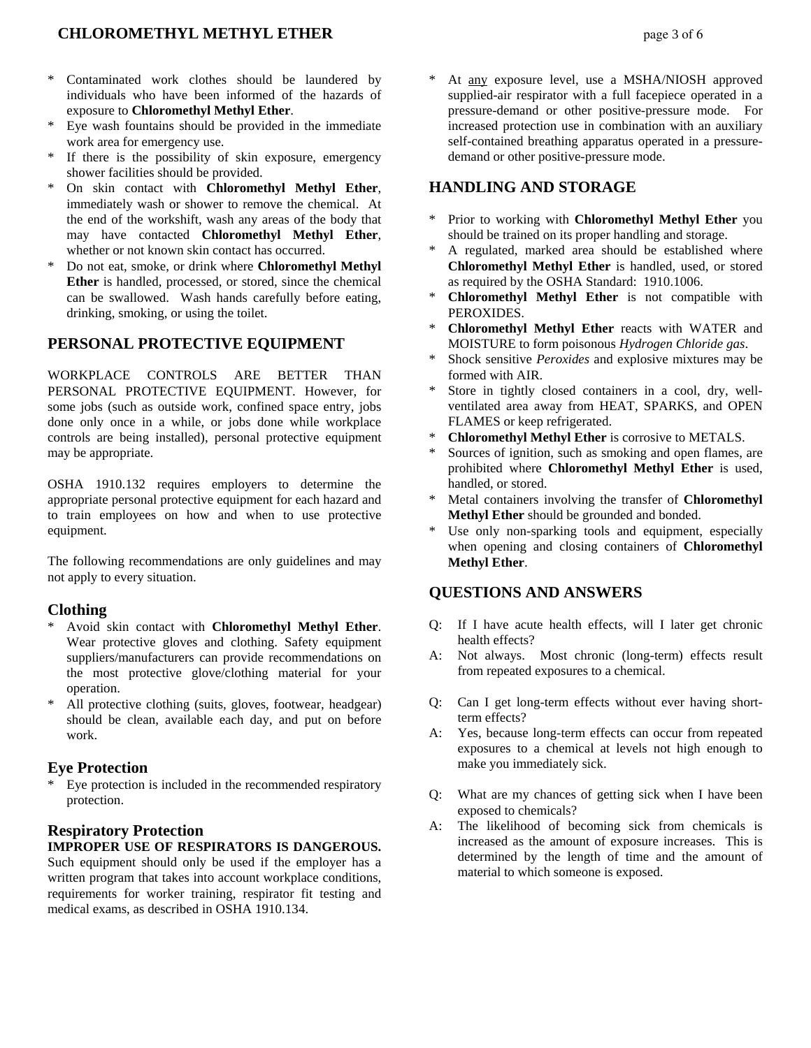# **CHLOROMETHYL METHYL ETHER** *page* **3 of 6**

- \* Contaminated work clothes should be laundered by individuals who have been informed of the hazards of exposure to **Chloromethyl Methyl Ether**.
- Eye wash fountains should be provided in the immediate work area for emergency use.
- If there is the possibility of skin exposure, emergency shower facilities should be provided.
- \* On skin contact with **Chloromethyl Methyl Ether**, immediately wash or shower to remove the chemical. At the end of the workshift, wash any areas of the body that may have contacted **Chloromethyl Methyl Ether**, whether or not known skin contact has occurred.
- \* Do not eat, smoke, or drink where **Chloromethyl Methyl Ether** is handled, processed, or stored, since the chemical can be swallowed. Wash hands carefully before eating, drinking, smoking, or using the toilet.

#### **PERSONAL PROTECTIVE EQUIPMENT**

WORKPLACE CONTROLS ARE BETTER THAN PERSONAL PROTECTIVE EQUIPMENT. However, for some jobs (such as outside work, confined space entry, jobs done only once in a while, or jobs done while workplace controls are being installed), personal protective equipment may be appropriate.

OSHA 1910.132 requires employers to determine the appropriate personal protective equipment for each hazard and to train employees on how and when to use protective equipment.

The following recommendations are only guidelines and may not apply to every situation.

#### **Clothing**

- Avoid skin contact with **Chloromethyl Methyl Ether**. Wear protective gloves and clothing. Safety equipment suppliers/manufacturers can provide recommendations on the most protective glove/clothing material for your operation.
- \* All protective clothing (suits, gloves, footwear, headgear) should be clean, available each day, and put on before work.

#### **Eye Protection**

Eye protection is included in the recommended respiratory protection.

#### **Respiratory Protection IMPROPER USE OF RESPIRATORS IS DANGEROUS.**

Such equipment should only be used if the employer has a written program that takes into account workplace conditions, requirements for worker training, respirator fit testing and medical exams, as described in OSHA 1910.134.

At any exposure level, use a MSHA/NIOSH approved supplied-air respirator with a full facepiece operated in a pressure-demand or other positive-pressure mode. For increased protection use in combination with an auxiliary self-contained breathing apparatus operated in a pressuredemand or other positive-pressure mode.

## **HANDLING AND STORAGE**

- \* Prior to working with **Chloromethyl Methyl Ether** you should be trained on its proper handling and storage.
- A regulated, marked area should be established where **Chloromethyl Methyl Ether** is handled, used, or stored as required by the OSHA Standard: 1910.1006.
- \* **Chloromethyl Methyl Ether** is not compatible with PEROXIDES.
- \* **Chloromethyl Methyl Ether** reacts with WATER and MOISTURE to form poisonous *Hydrogen Chloride gas*.
- \* Shock sensitive *Peroxides* and explosive mixtures may be formed with AIR.
- Store in tightly closed containers in a cool, dry, wellventilated area away from HEAT, SPARKS, and OPEN FLAMES or keep refrigerated.
- \* **Chloromethyl Methyl Ether** is corrosive to METALS.
- Sources of ignition, such as smoking and open flames, are prohibited where **Chloromethyl Methyl Ether** is used, handled, or stored.
- Metal containers involving the transfer of **Chloromethyl Methyl Ether** should be grounded and bonded.
- Use only non-sparking tools and equipment, especially when opening and closing containers of **Chloromethyl Methyl Ether**.

## **QUESTIONS AND ANSWERS**

- Q: If I have acute health effects, will I later get chronic health effects?
- A: Not always. Most chronic (long-term) effects result from repeated exposures to a chemical.
- Q: Can I get long-term effects without ever having shortterm effects?
- A: Yes, because long-term effects can occur from repeated exposures to a chemical at levels not high enough to make you immediately sick.
- Q: What are my chances of getting sick when I have been exposed to chemicals?
- A: The likelihood of becoming sick from chemicals is increased as the amount of exposure increases. This is determined by the length of time and the amount of material to which someone is exposed.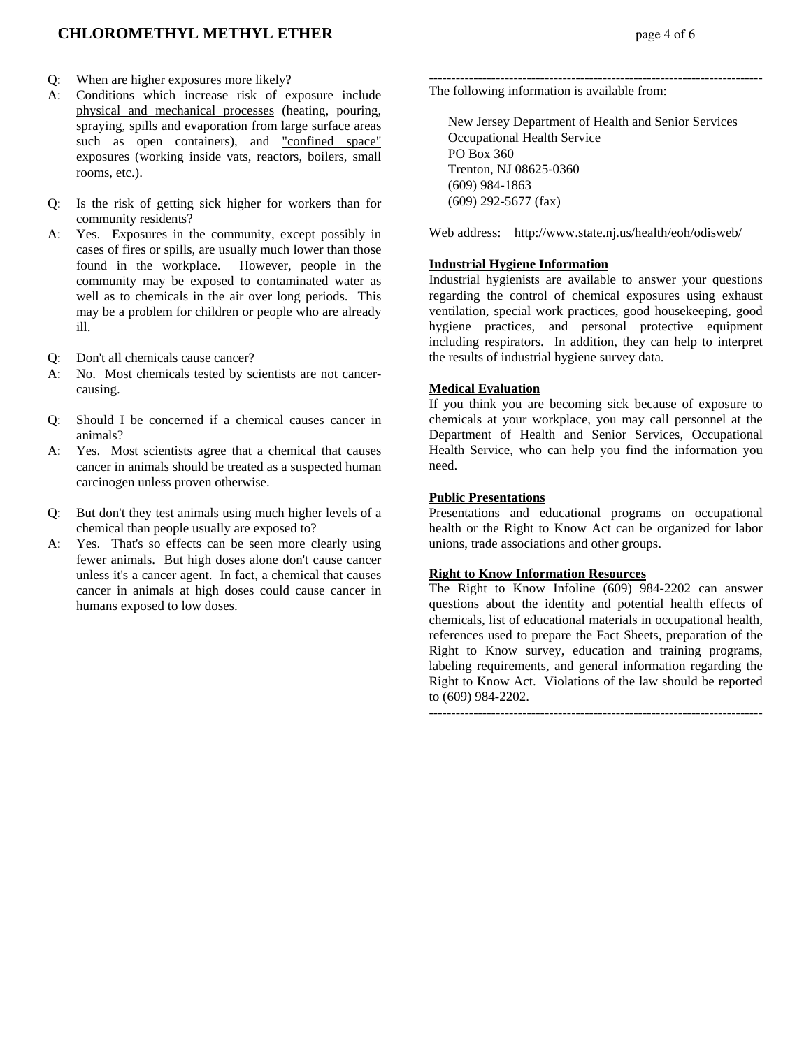# **CHLOROMETHYL METHYL ETHER page 4 of 6**

- Q: When are higher exposures more likely?
- A: Conditions which increase risk of exposure include physical and mechanical processes (heating, pouring, spraying, spills and evaporation from large surface areas such as open containers), and "confined space" exposures (working inside vats, reactors, boilers, small rooms, etc.).
- Q: Is the risk of getting sick higher for workers than for community residents?
- A: Yes. Exposures in the community, except possibly in cases of fires or spills, are usually much lower than those found in the workplace. However, people in the community may be exposed to contaminated water as well as to chemicals in the air over long periods. This may be a problem for children or people who are already ill.
- Q: Don't all chemicals cause cancer?
- A: No. Most chemicals tested by scientists are not cancercausing.
- Q: Should I be concerned if a chemical causes cancer in animals?
- A: Yes. Most scientists agree that a chemical that causes cancer in animals should be treated as a suspected human carcinogen unless proven otherwise.
- Q: But don't they test animals using much higher levels of a chemical than people usually are exposed to?
- A: Yes. That's so effects can be seen more clearly using fewer animals. But high doses alone don't cause cancer unless it's a cancer agent. In fact, a chemical that causes cancer in animals at high doses could cause cancer in humans exposed to low doses.

--------------------------------------------------------------------------- The following information is available from:

 New Jersey Department of Health and Senior Services Occupational Health Service PO Box 360 Trenton, NJ 08625-0360 (609) 984-1863 (609) 292-5677 (fax)

Web address: http://www.state.nj.us/health/eoh/odisweb/

#### **Industrial Hygiene Information**

Industrial hygienists are available to answer your questions regarding the control of chemical exposures using exhaust ventilation, special work practices, good housekeeping, good hygiene practices, and personal protective equipment including respirators. In addition, they can help to interpret the results of industrial hygiene survey data.

#### **Medical Evaluation**

If you think you are becoming sick because of exposure to chemicals at your workplace, you may call personnel at the Department of Health and Senior Services, Occupational Health Service, who can help you find the information you need.

#### **Public Presentations**

Presentations and educational programs on occupational health or the Right to Know Act can be organized for labor unions, trade associations and other groups.

#### **Right to Know Information Resources**

The Right to Know Infoline (609) 984-2202 can answer questions about the identity and potential health effects of chemicals, list of educational materials in occupational health, references used to prepare the Fact Sheets, preparation of the Right to Know survey, education and training programs, labeling requirements, and general information regarding the Right to Know Act. Violations of the law should be reported to (609) 984-2202.

---------------------------------------------------------------------------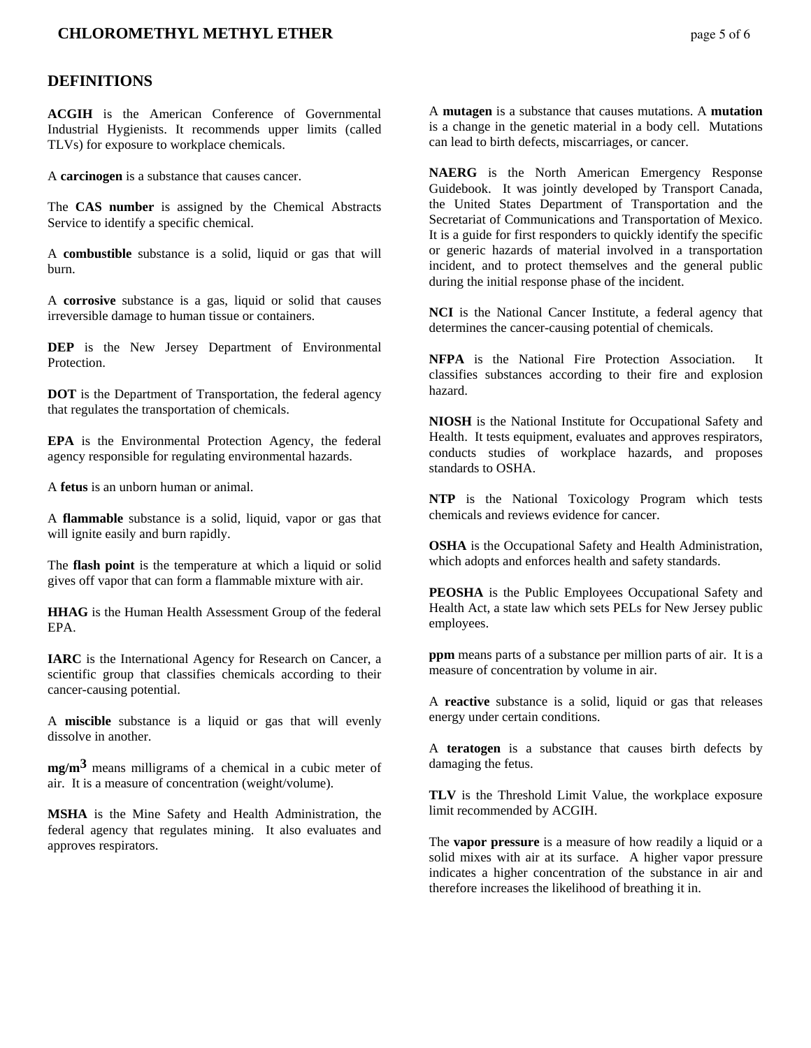## **CHLOROMETHYL METHYL ETHER** page 5 of 6

#### **DEFINITIONS**

**ACGIH** is the American Conference of Governmental Industrial Hygienists. It recommends upper limits (called TLVs) for exposure to workplace chemicals.

A **carcinogen** is a substance that causes cancer.

The **CAS number** is assigned by the Chemical Abstracts Service to identify a specific chemical.

A **combustible** substance is a solid, liquid or gas that will burn.

A **corrosive** substance is a gas, liquid or solid that causes irreversible damage to human tissue or containers.

**DEP** is the New Jersey Department of Environmental Protection.

**DOT** is the Department of Transportation, the federal agency that regulates the transportation of chemicals.

**EPA** is the Environmental Protection Agency, the federal agency responsible for regulating environmental hazards.

A **fetus** is an unborn human or animal.

A **flammable** substance is a solid, liquid, vapor or gas that will ignite easily and burn rapidly.

The **flash point** is the temperature at which a liquid or solid gives off vapor that can form a flammable mixture with air.

**HHAG** is the Human Health Assessment Group of the federal EPA.

**IARC** is the International Agency for Research on Cancer, a scientific group that classifies chemicals according to their cancer-causing potential.

A **miscible** substance is a liquid or gas that will evenly dissolve in another.

**mg/m3** means milligrams of a chemical in a cubic meter of air. It is a measure of concentration (weight/volume).

**MSHA** is the Mine Safety and Health Administration, the federal agency that regulates mining. It also evaluates and approves respirators.

A **mutagen** is a substance that causes mutations. A **mutation** is a change in the genetic material in a body cell. Mutations can lead to birth defects, miscarriages, or cancer.

**NAERG** is the North American Emergency Response Guidebook. It was jointly developed by Transport Canada, the United States Department of Transportation and the Secretariat of Communications and Transportation of Mexico. It is a guide for first responders to quickly identify the specific or generic hazards of material involved in a transportation incident, and to protect themselves and the general public during the initial response phase of the incident.

**NCI** is the National Cancer Institute, a federal agency that determines the cancer-causing potential of chemicals.

**NFPA** is the National Fire Protection Association. It classifies substances according to their fire and explosion hazard.

**NIOSH** is the National Institute for Occupational Safety and Health. It tests equipment, evaluates and approves respirators, conducts studies of workplace hazards, and proposes standards to OSHA.

**NTP** is the National Toxicology Program which tests chemicals and reviews evidence for cancer.

**OSHA** is the Occupational Safety and Health Administration, which adopts and enforces health and safety standards.

**PEOSHA** is the Public Employees Occupational Safety and Health Act, a state law which sets PELs for New Jersey public employees.

**ppm** means parts of a substance per million parts of air. It is a measure of concentration by volume in air.

A **reactive** substance is a solid, liquid or gas that releases energy under certain conditions.

A **teratogen** is a substance that causes birth defects by damaging the fetus.

**TLV** is the Threshold Limit Value, the workplace exposure limit recommended by ACGIH.

The **vapor pressure** is a measure of how readily a liquid or a solid mixes with air at its surface. A higher vapor pressure indicates a higher concentration of the substance in air and therefore increases the likelihood of breathing it in.